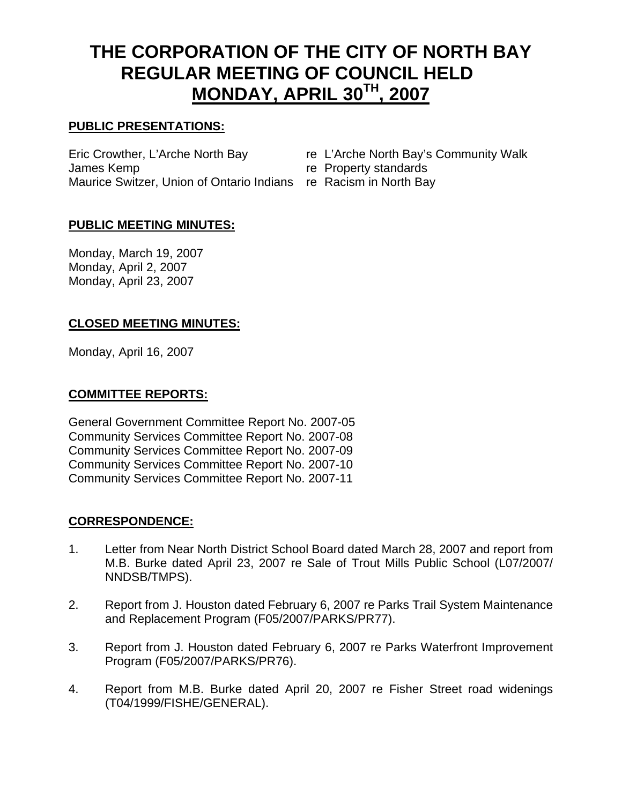# **THE CORPORATION OF THE CITY OF NORTH BAY REGULAR MEETING OF COUNCIL HELD MONDAY, APRIL 30TH, 2007**

# **PUBLIC PRESENTATIONS:**

Eric Crowther, L'Arche North Bay re L'Arche North Bay's Community Walk James Kemp **re Property standards** Maurice Switzer, Union of Ontario Indians re Racism in North Bay

- 
- 
- 

# **PUBLIC MEETING MINUTES:**

Monday, March 19, 2007 Monday, April 2, 2007 Monday, April 23, 2007

#### **CLOSED MEETING MINUTES:**

Monday, April 16, 2007

#### **COMMITTEE REPORTS:**

General Government Committee Report No. 2007-05 Community Services Committee Report No. 2007-08 Community Services Committee Report No. 2007-09 Community Services Committee Report No. 2007-10 Community Services Committee Report No. 2007-11

# **CORRESPONDENCE:**

- 1. Letter from Near North District School Board dated March 28, 2007 and report from M.B. Burke dated April 23, 2007 re Sale of Trout Mills Public School (L07/2007/ NNDSB/TMPS).
- 2. Report from J. Houston dated February 6, 2007 re Parks Trail System Maintenance and Replacement Program (F05/2007/PARKS/PR77).
- 3. Report from J. Houston dated February 6, 2007 re Parks Waterfront Improvement Program (F05/2007/PARKS/PR76).
- 4. Report from M.B. Burke dated April 20, 2007 re Fisher Street road widenings (T04/1999/FISHE/GENERAL).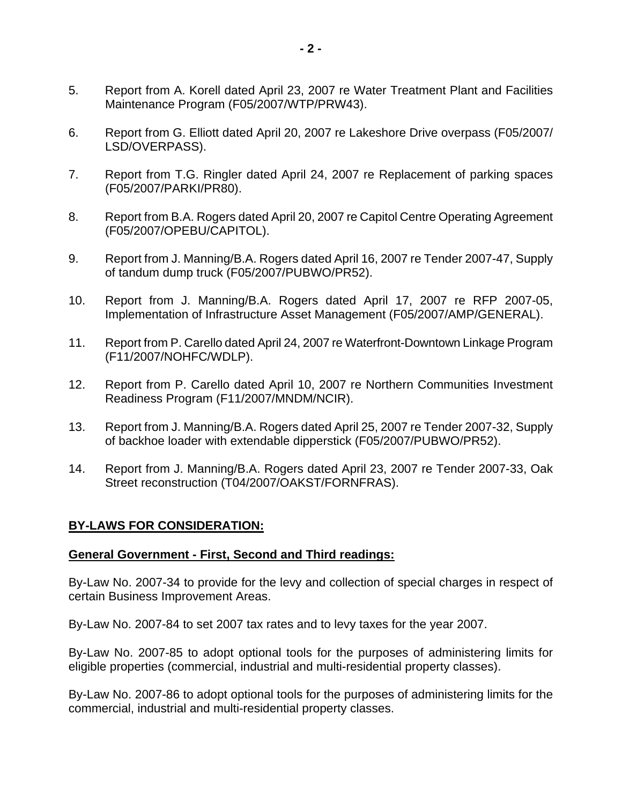- 5. Report from A. Korell dated April 23, 2007 re Water Treatment Plant and Facilities Maintenance Program (F05/2007/WTP/PRW43).
- 6. Report from G. Elliott dated April 20, 2007 re Lakeshore Drive overpass (F05/2007/ LSD/OVERPASS).
- 7. Report from T.G. Ringler dated April 24, 2007 re Replacement of parking spaces (F05/2007/PARKI/PR80).
- 8. Report from B.A. Rogers dated April 20, 2007 re Capitol Centre Operating Agreement (F05/2007/OPEBU/CAPITOL).
- 9. Report from J. Manning/B.A. Rogers dated April 16, 2007 re Tender 2007-47, Supply of tandum dump truck (F05/2007/PUBWO/PR52).
- 10. Report from J. Manning/B.A. Rogers dated April 17, 2007 re RFP 2007-05, Implementation of Infrastructure Asset Management (F05/2007/AMP/GENERAL).
- 11. Report from P. Carello dated April 24, 2007 re Waterfront-Downtown Linkage Program (F11/2007/NOHFC/WDLP).
- 12. Report from P. Carello dated April 10, 2007 re Northern Communities Investment Readiness Program (F11/2007/MNDM/NCIR).
- 13. Report from J. Manning/B.A. Rogers dated April 25, 2007 re Tender 2007-32, Supply of backhoe loader with extendable dipperstick (F05/2007/PUBWO/PR52).
- 14. Report from J. Manning/B.A. Rogers dated April 23, 2007 re Tender 2007-33, Oak Street reconstruction (T04/2007/OAKST/FORNFRAS).

#### **BY-LAWS FOR CONSIDERATION:**

#### **General Government - First, Second and Third readings:**

By-Law No. 2007-34 to provide for the levy and collection of special charges in respect of certain Business Improvement Areas.

By-Law No. 2007-84 to set 2007 tax rates and to levy taxes for the year 2007.

By-Law No. 2007-85 to adopt optional tools for the purposes of administering limits for eligible properties (commercial, industrial and multi-residential property classes).

By-Law No. 2007-86 to adopt optional tools for the purposes of administering limits for the commercial, industrial and multi-residential property classes.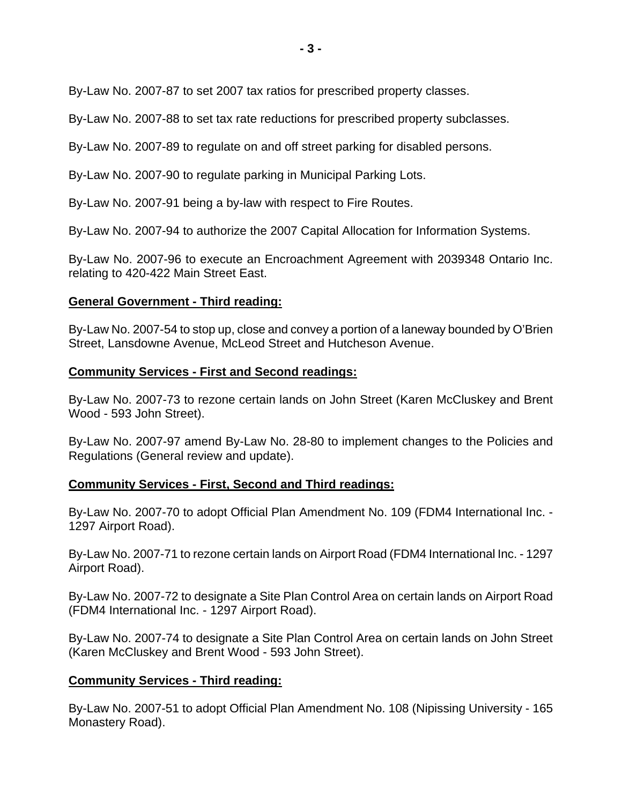By-Law No. 2007-87 to set 2007 tax ratios for prescribed property classes.

By-Law No. 2007-88 to set tax rate reductions for prescribed property subclasses.

By-Law No. 2007-89 to regulate on and off street parking for disabled persons.

By-Law No. 2007-90 to regulate parking in Municipal Parking Lots.

By-Law No. 2007-91 being a by-law with respect to Fire Routes.

By-Law No. 2007-94 to authorize the 2007 Capital Allocation for Information Systems.

By-Law No. 2007-96 to execute an Encroachment Agreement with 2039348 Ontario Inc. relating to 420-422 Main Street East.

#### **General Government - Third reading:**

By-Law No. 2007-54 to stop up, close and convey a portion of a laneway bounded by O'Brien Street, Lansdowne Avenue, McLeod Street and Hutcheson Avenue.

#### **Community Services - First and Second readings:**

By-Law No. 2007-73 to rezone certain lands on John Street (Karen McCluskey and Brent Wood - 593 John Street).

By-Law No. 2007-97 amend By-Law No. 28-80 to implement changes to the Policies and Regulations (General review and update).

# **Community Services - First, Second and Third readings:**

By-Law No. 2007-70 to adopt Official Plan Amendment No. 109 (FDM4 International Inc. - 1297 Airport Road).

By-Law No. 2007-71 to rezone certain lands on Airport Road (FDM4 International Inc. - 1297 Airport Road).

By-Law No. 2007-72 to designate a Site Plan Control Area on certain lands on Airport Road (FDM4 International Inc. - 1297 Airport Road).

By-Law No. 2007-74 to designate a Site Plan Control Area on certain lands on John Street (Karen McCluskey and Brent Wood - 593 John Street).

# **Community Services - Third reading:**

By-Law No. 2007-51 to adopt Official Plan Amendment No. 108 (Nipissing University - 165 Monastery Road).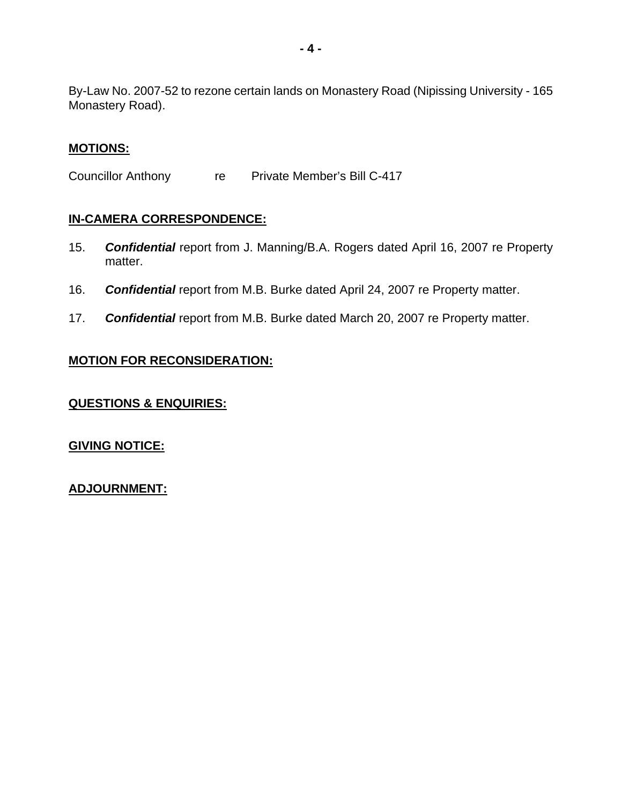By-Law No. 2007-52 to rezone certain lands on Monastery Road (Nipissing University - 165 Monastery Road).

#### **MOTIONS:**

Councillor Anthony re Private Member's Bill C-417

#### **IN-CAMERA CORRESPONDENCE:**

- 15. *Confidential* report from J. Manning/B.A. Rogers dated April 16, 2007 re Property matter.
- 16. *Confidential* report from M.B. Burke dated April 24, 2007 re Property matter.
- 17. *Confidential* report from M.B. Burke dated March 20, 2007 re Property matter.

# **MOTION FOR RECONSIDERATION:**

#### **QUESTIONS & ENQUIRIES:**

# **GIVING NOTICE:**

**ADJOURNMENT:**